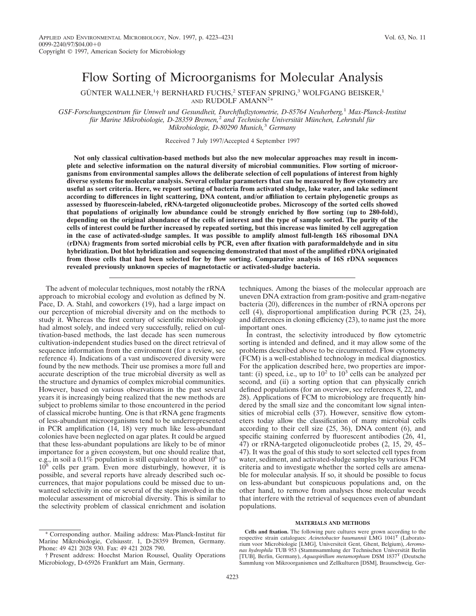# Flow Sorting of Microorganisms for Molecular Analysis

GÜNTER WALLNER,<sup>1</sup>† BERNHARD FUCHS,<sup>2</sup> STEFAN SPRING,<sup>3</sup> WOLFGANG BEISKER,<sup>1</sup> AND RUDOLF AMANN<sup>2\*</sup>

*GSF-Forschungszentrum fu¨r Umwelt und Gesundheit, Durchflußzytometrie, D-85764 Neuherberg,*<sup>1</sup> *Max-Planck-Institut fu¨r Marine Mikrobiologie, D-28359 Bremen,*<sup>2</sup> *and Technische Universita¨t Mu¨nchen, Lehrstuhl fu¨r Mikrobiologie, D-80290 Munich,*<sup>3</sup> *Germany*

Received 7 July 1997/Accepted 4 September 1997

**Not only classical cultivation-based methods but also the new molecular approaches may result in incomplete and selective information on the natural diversity of microbial communities. Flow sorting of microorganisms from environmental samples allows the deliberate selection of cell populations of interest from highly diverse systems for molecular analysis. Several cellular parameters that can be measured by flow cytometry are useful as sort criteria. Here, we report sorting of bacteria from activated sludge, lake water, and lake sediment according to differences in light scattering, DNA content, and/or affiliation to certain phylogenetic groups as assessed by fluorescein-labeled, rRNA-targeted oligonucleotide probes. Microscopy of the sorted cells showed that populations of originally low abundance could be strongly enriched by flow sorting (up to 280-fold), depending on the original abundance of the cells of interest and the type of sample sorted. The purity of the cells of interest could be further increased by repeated sorting, but this increase was limited by cell aggregation in the case of activated-sludge samples. It was possible to amplify almost full-length 16S ribosomal DNA (rDNA) fragments from sorted microbial cells by PCR, even after fixation with paraformaldehyde and in situ hybridization. Dot blot hybridization and sequencing demonstrated that most of the amplified rDNA originated from those cells that had been selected for by flow sorting. Comparative analysis of 16S rDNA sequences revealed previously unknown species of magnetotactic or activated-sludge bacteria.**

The advent of molecular techniques, most notably the rRNA approach to microbial ecology and evolution as defined by N. Pace, D. A. Stahl, and coworkers (19), had a large impact on our perception of microbial diversity and on the methods to study it. Whereas the first century of scientific microbiology had almost solely, and indeed very successfully, relied on cultivation-based methods, the last decade has seen numerous cultivation-independent studies based on the direct retrieval of sequence information from the environment (for a review, see reference 4). Indications of a vast undiscovered diversity were found by the new methods. Their use promises a more full and accurate description of the true microbial diversity as well as the structure and dynamics of complex microbial communities. However, based on various observations in the past several years it is increasingly being realized that the new methods are subject to problems similar to those encountered in the period of classical microbe hunting. One is that rRNA gene fragments of less-abundant microorganisms tend to be underrepresented in PCR amplification (14, 18) very much like less-abundant colonies have been neglected on agar plates. It could be argued that these less-abundant populations are likely to be of minor importance for a given ecosystem, but one should realize that, e.g., in soil a 0.1% population is still equivalent to about 10<sup>6</sup> to  $10^8$  cells per gram. Even more disturbingly, however, it is possible, and several reports have already described such occurrences, that major populations could be missed due to unwanted selectivity in one or several of the steps involved in the molecular assessment of microbial diversity. This is similar to the selectivity problem of classical enrichment and isolation techniques. Among the biases of the molecular approach are uneven DNA extraction from gram-positive and gram-negative bacteria (20), differences in the number of rRNA operons per cell (4), disproportional amplification during PCR (23, 24), and differences in cloning efficiency (23), to name just the more important ones.

In contrast, the selectivity introduced by flow cytometric sorting is intended and defined, and it may allow some of the problems described above to be circumvented. Flow cytometry (FCM) is a well-established technology in medical diagnostics. For the application described here, two properties are important: (i) speed, i.e., up to  $10^2$  to  $10^3$  cells can be analyzed per second, and (ii) a sorting option that can physically enrich defined populations (for an overview, see references 8, 22, and 28). Applications of FCM to microbiology are frequently hindered by the small size and the concomitant low signal intensities of microbial cells (37). However, sensitive flow cytometers today allow the classification of many microbial cells according to their cell size (25, 36), DNA content (6), and specific staining conferred by fluorescent antibodies (26, 41, 47) or rRNA-targeted oligonucleotide probes (2, 15, 29, 45– 47). It was the goal of this study to sort selected cell types from water, sediment, and activated-sludge samples by various FCM criteria and to investigate whether the sorted cells are amenable for molecular analysis. If so, it should be possible to focus on less-abundant but conspicuous populations and, on the other hand, to remove from analyses those molecular weeds that interfere with the retrieval of sequences even of abundant populations.

#### **MATERIALS AND METHODS**

**Cells and fixation.** The following pure cultures were grown according to the respective strain catalogues: *Acinetobacter baumannii* LMG 1041<sup>T</sup> (Laboratorium voor Microbiologie [LMG], Universiteit Gent, Ghent, Belgium), *Aeromo*nas hydrophila TUB 953 (Stammsammlung der Technischen Universität Berlin [TUB], Berlin, Germany), *Aquaspirillum metamorphum* DSM 1837<sup>T</sup> (Deutsche Sammlung von Mikroorganismen und Zellkulturen [DSM], Braunschweig, Ger-

<sup>\*</sup> Corresponding author. Mailing address: Max-Planck-Institut fu¨r Marine Mikrobiologie, Celsiusstr. 1, D-28359 Bremen, Germany. Phone: 49 421 2028 930. Fax: 49 421 2028 790.

<sup>†</sup> Present address: Hoechst Marion Roussel, Quality Operations Microbiology, D-65926 Frankfurt am Main, Germany.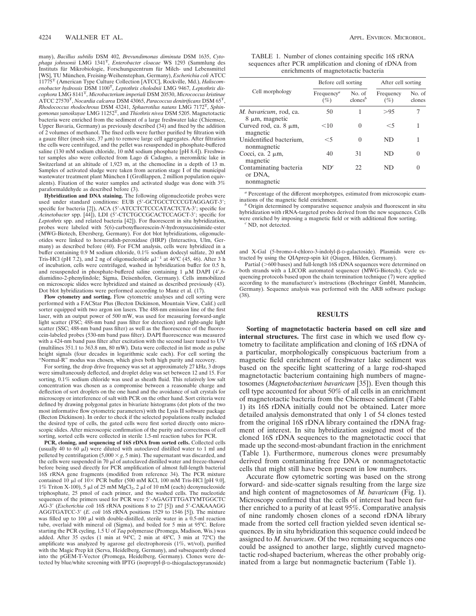many), *Bacillus subtilis* DSM 402, *Brevundimonas diminuta* DSM 1635, *Cytophaga johnsonii* LMG 1341T, *Enterobacter cloacae* WS 1293 (Sammlung des Instituts für Mikrobiologie, Forschungszentrum für Milch- und Lebensmittel [WS], TU München, Freising-Weihenstephan, Germany), *Escherichia coli* ATCC 11775T (American Type Culture Collection [ATCC], Rockville, Md.), *Haliscomenobacter hydrossis* DSM 1100T, *Leptothrix cholodnii* LMG 9467, *Leptothrix discophora* LMG 8141T, *Microbacterium imperiali* DSM 20530, *Micrococcus kristinae* ATCC 27570T, *Nocardia calcarea* DSM 43065, *Paracoccus denitrificans* DSM 65T, *Rhodococcus rhodochrous* DSM 43241, *Sphaerotilus natans* LMG 7172T, *Sphingomonas yanoikuyae* LMG 11252T, and *Thiothrix nivea* DSM 5205. Magnetotactic bacteria were enriched from the sediment of a large freshwater lake (Chiemsee, Upper Bavaria, Germany) as previously described (34) and fixed by the addition of 2 volumes of methanol. The fixed cells were further purified by filtration with a gauze filter (mesh size,  $37 \mu m$ ) to remove large cell aggregates. After filtration the cells were centrifuged, and the pellet was resuspended in phosphate-buffered saline (130 mM sodium chloride, 10 mM sodium phosphate [pH 8.4]). Freshwater samples also were collected from Lago di Cadagno, a meromiktic lake in Switzerland at an altitude of 1,923 m, at the chemocline in a depth of 13 m. Samples of activated sludge were taken from aeration stage I of the municipal wastewater treatment plant München I (Großlappen, 2 million population equivalents). Fixation of the water samples and activated sludge was done with 3% paraformaldehyde as described before (3).

**Hybridization and DNA staining.** The following oligonucleotide probes were used under standard conditions: EUB (5'-GCTGCCTCCCGTAGGAGT-3'; specific for bacteria [2]), ACA (5'-ATCCTCTCCCATACTCTA-3'; specific for *Acinetobacter* spp. [44]), LDI (5'-CTCTGCCGCACTCCAGCT-3'; specific for *Leptothrix* spp. and related bacteria [42]). For fluorescent in situ hybridization, probes were labeled with 5(6)-carboxyfluorescein-*N*-hydroxysuccinimide-ester (MWG-Biotech, Ebersberg, Germany). For dot blot hybridizations, oligonucleotides were linked to horseradish-peroxidase (HRP) (Interactiva, Ulm, Germany) as described before (40). For FCM analysis, cells were hybridized in a buffer containing 0.9 M sodium chloride, 0.1% sodium dodecyl sulfate, 20 mM Tris-HCl (pH 7.2), and 2 ng of oligonucleotide  $\mu$ l<sup>-1</sup> at 46°C (45, 46). After 3 h of incubation, cells were centrifuged, washed in hybridization buffer for 0.5 h, and resuspended in phosphate-buffered saline containing 1  $\mu$ M DAPI (4',6diamidino-2-phenylindole; Sigma, Deisenhofen, Germany). Cells immobilized on microscopic slides were hybridized and stained as described previously (43). Dot blot hybridizations were performed according to Manz et al. (17).

**Flow cytometry and sorting.** Flow cytometric analyses and cell sorting were performed with a FACStar Plus (Becton Dickinson, Mountain View, Calif.) cell sorter equipped with two argon ion lasers. The 488-nm emission line of the first laser, with an output power of 500 mW, was used for measuring forward-angle light scatter (FSC; 488-nm band pass filter for detection) and right-angle light scatter (SSC; 488-nm band pass filter) as well as the fluorescence of the fluorescein-labeled probes (530-nm band pass filter). DAPI fluorescence was measured with a 424-nm band pass filter after excitation with the second laser tuned to UV (multilines 351.1 to 363.8 nm, 80 mW). Data were collected in list mode as pulse height signals (four decades in logarithmic scale each). For cell sorting the "Normal-R" modus was chosen, which gives both high purity and recovery.

For sorting, the drop drive frequency was set at approximately 27 kHz, 3 drops were simultaneously deflected, and droplet delay was set between 12 and 15. For sorting, 0.1% sodium chloride was used as sheath fluid. This relatively low salt concentration was chosen as a compromise between a reasonable charge and deflection of sort droplets on the one hand and the avoidance of salt crystals for microscopy or interference of salt with PCR on the other hand. Sort criteria were defined by drawing polygonal gates in bivariate histograms (dot plots of the two most informative flow cytometric parameters) with the Lysis II software package (Becton Dickinson). In order to check if the selected populations really included the desired type of cells, the gated cells were first sorted directly onto microscopic slides. After microscopic confirmation of the purity and correctness of cell sorting, sorted cells were collected in sterile 1.5-ml reaction tubes for PCR.

**PCR, cloning, and sequencing of 16S rDNA from sorted cells.** Collected cells (usually 40 to 60  $\mu$ l) were diluted with autoclaved distilled water to 1 ml and pelleted by centrifugation  $(5,000 \times g, 5 \text{ min})$ . The supernatant was discarded, and the cells were suspended in 70  $\mu$ l of autoclaved distilled water and freeze-thawed before being used directly for PCR amplification of almost full-length bacterial 16S rRNA gene fragments (modified from reference 34). The PCR mixture contained 10  $\mu$ l of 10 $\times$  PCR buffer (500 mM KCl, 100 mM Tris-HCl [pH 9.0], 1% Triton X-100), 5 µl of 25 mM MgCl<sub>2</sub>, 2 µl of 10 mM (each) deoxynucleoside triphosphate, 25 pmol of each primer, and the washed cells. The nucleotide sequences of the primers used for PCR were 5'-AGAGTTTGATYMTGGCTC AG-3' (*Escherichia coli* 16S rRNA positions 8 to 27 [5]) and 5'-CAKAAAGG AGGTGATCC-3' (*E. coli* 16S rRNA positions 1529 to 1546 [5]). The mixture was filled up to  $100 \mu l$  with double-distilled, sterile water in a  $0.5$ -ml reaction tube, overlaid with mineral oil (Sigma), and boiled for 5 min at 95°C. Before starting the PCR cycling, 1.5 U of *Taq* polymerase (Promega, Madison, Wis.) was added. After 35 cycles (1 min at 94°C, 2 min at 48°C, 3 min at 72°C) the amplificate was analyzed by agarose gel electrophoresis (1%, wt/vol), purified with the Magic Prep kit (Serva, Heidelberg, Germany), and subsequently cloned into the pGEM-T-Vector (Promega, Heidelberg, Germany). Clones were detected by blue/white screening with IPTG (isopropyl-ß-D-thiogalactopyranoside)

TABLE 1. Number of clones containing specific 16S rRNA sequences after PCR amplification and cloning of rDNA from enrichments of magnetotactic bacteria

|                                                  | Before cell sorting              |                             | After cell sorting |                  |
|--------------------------------------------------|----------------------------------|-----------------------------|--------------------|------------------|
| Cell morphology                                  | Frequency <sup>a</sup><br>$(\%)$ | No. of<br>$\text{clones}^b$ | Frequency<br>(%)   | No. of<br>clones |
| <i>M. bavaricum</i> , rod, ca.<br>8 μm, magnetic | 50                               | 1                           | > 95               |                  |
| Curved rod, ca. $8 \mu m$ ,<br>magnetic          | $<$ 10                           | $\theta$                    | $<$ 5              |                  |
| Unidentified bacterium,<br>nonmagnetic           | $<$ 5                            | 0                           | ND                 |                  |
| Cocci, ca. $2 \mu m$ ,<br>magnetic               | 40                               | 31                          | ND                 |                  |
| Contaminating bacteria<br>or DNA,<br>nonmagnetic | $ND^{c}$                         | 22                          | ND                 |                  |

*<sup>a</sup>* Percentage of the different morphotypes, estimated from microscopic exam-

inations of the magnetic field enrichment.<br><sup>*b*</sup> Origin determined by comparative sequence analysis and fluorescent in situ<br>hybridization with rRNA-targeted probes derived from the new sequences. Cells were enriched by imposing a magnetic field or with additional flow sorting. *<sup>c</sup>* ND, not detected.

and X-Gal (5-bromo-4-chloro-3-indolyl-ß-D-galactoside). Plasmids were extracted by using the QIAprep-spin kit (Qiagen, Hilden, Germany).

Partial (>600 bases) and full-length 16S rDNA sequences were determined on both strands with a LICOR automated sequencer (MWG-Biotech). Cycle sequencing protocols based upon the chain termination technique (7) were applied according to the manufacturer's instructions (Boehringer GmbH, Mannheim, Germany). Sequence analysis was performed with the ARB software package (38).

### **RESULTS**

**Sorting of magnetotactic bacteria based on cell size and internal structures.** The first case in which we used flow cytometry to facilitate amplification and cloning of 16S rDNA of a particular, morphologically conspicuous bacterium from a magnetic field enrichment of freshwater lake sediment was based on the specific light scattering of a large rod-shaped magnetotactic bacterium containing high numbers of magnetosomes (*Magnetobacterium bavaricum* [35]). Even though this cell type accounted for about 50% of all cells in an enrichment of magnetotactic bacteria from the Chiemsee sediment (Table 1) its 16S rDNA initially could not be obtained. Later more detailed analysis demonstrated that only 1 of 54 clones tested from the original 16S rDNA library contained the rDNA fragment of interest. In situ hybridization assigned most of the cloned 16S rDNA sequences to the magnetotactic cocci that made up the second-most-abundant fraction in the enrichment (Table 1). Furthermore, numerous clones were presumably derived from contaminating free DNA or nonmagnetotactic cells that might still have been present in low numbers.

Accurate flow cytometric sorting was based on the strong forward- and side-scatter signals resulting from the large size and high content of magnetosomes of *M. bavaricum* (Fig. 1). Microscopy confirmed that the cells of interest had been further enriched to a purity of at least 95%. Comparative analysis of nine randomly chosen clones of a second rDNA library made from the sorted cell fraction yielded seven identical sequences. By in situ hybridization this sequence could indeed be assigned to *M. bavaricum*. Of the two remaining sequences one could be assigned to another large, slightly curved magnetotactic rod-shaped bacterium, whereas the other probably originated from a large but nonmagnetic bacterium (Table 1).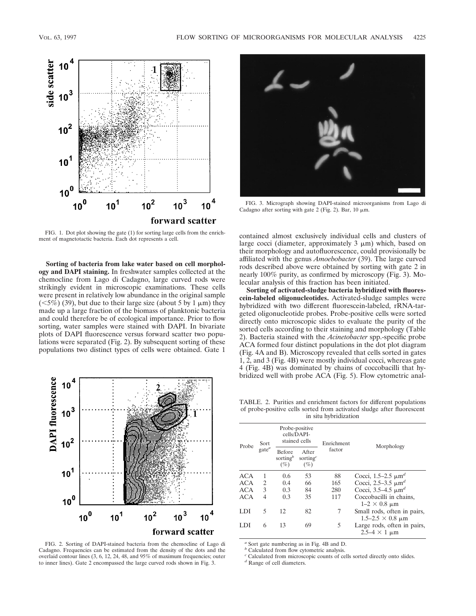

FIG. 1. Dot plot showing the gate (1) for sorting large cells from the enrichment of magnetotactic bacteria. Each dot represents a cell.

**Sorting of bacteria from lake water based on cell morphology and DAPI staining.** In freshwater samples collected at the chemocline from Lago di Cadagno, large curved rods were strikingly evident in microscopic examinations. These cells were present in relatively low abundance in the original sample  $(<5\%)$  (39), but due to their large size (about 5 by 1  $\mu$ m) they made up a large fraction of the biomass of planktonic bacteria and could therefore be of ecological importance. Prior to flow sorting, water samples were stained with DAPI. In bivariate plots of DAPI fluorescence versus forward scatter two populations were separated (Fig. 2). By subsequent sorting of these populations two distinct types of cells were obtained. Gate 1



FIG. 2. Sorting of DAPI-stained bacteria from the chemocline of Lago di Cadagno. Frequencies can be estimated from the density of the dots and the overlaid contour lines (3, 6, 12, 24, 48, and 95% of maximum frequencies; outer to inner lines). Gate 2 encompassed the large curved rods shown in Fig. 3.



FIG. 3. Micrograph showing DAPI-stained microorganisms from Lago di Cadagno after sorting with gate 2 (Fig. 2). Bar, 10  $\mu$ m.

contained almost exclusively individual cells and clusters of large cocci (diameter, approximately  $3 \mu m$ ) which, based on their morphology and autofluorescence, could provisionally be affiliated with the genus *Amoebobacter* (39). The large curved rods described above were obtained by sorting with gate 2 in nearly 100% purity, as confirmed by microscopy (Fig. 3). Molecular analysis of this fraction has been initiated.

**Sorting of activated-sludge bacteria hybridized with fluorescein-labeled oligonucleotides.** Activated-sludge samples were hybridized with two different fluorescein-labeled, rRNA-targeted oligonucleotide probes. Probe-positive cells were sorted directly onto microscopic slides to evaluate the purity of the sorted cells according to their staining and morphology (Table 2). Bacteria stained with the *Acinetobacter* spp.-specific probe ACA formed four distinct populations in the dot plot diagram (Fig. 4A and B). Microscopy revealed that cells sorted in gates 1, 2, and 3 (Fig. 4B) were mostly individual cocci, whereas gate 4 (Fig. 4B) was dominated by chains of coccobacilli that hybridized well with probe ACA (Fig. 5). Flow cytometric anal-

TABLE. 2. Purities and enrichment factors for different populations of probe-positive cells sorted from activated sludge after fluorescent in situ hybridization

| Probe      | Sort     | Probe-positive<br>cells/DAPI-<br>stained cells  |                                | Enrichment |                                                          |  |
|------------|----------|-------------------------------------------------|--------------------------------|------------|----------------------------------------------------------|--|
|            | $gate^a$ | <b>Before</b><br>sorting <sup>b</sup><br>$(\%)$ | After<br>sorting $c$<br>$(\%)$ | factor     | Morphology                                               |  |
| ACA        | 1        | 0.6                                             | 53                             | 88         | Cocci, 1.5–2.5 $\mu$ m <sup>d</sup>                      |  |
| ACA        | 2        | 0.4                                             | 66                             | 165        | Cocci, 2.5–3.5 $\mu$ m <sup>d</sup>                      |  |
| ACA        | 3        | 0.3                                             | 84                             | 280        | Cocci, $3.5 - 4.5 \mu m^d$                               |  |
| <b>ACA</b> | 4        | 0.3                                             | 35                             | 117        | Coccobacilli in chains,<br>$1-2 \times 0.8$ µm           |  |
| LDI        | 5        | 12                                              | 82                             | 7          | Small rods, often in pairs,<br>$1.5 - 2.5 \times 0.8$ µm |  |
| LDI        | 6        | 13                                              | 69                             | 5          | Large rods, often in pairs,<br>$2.5-4 \times 1 \mu m$    |  |

*<sup>a</sup>* Sort gate numbering as in Fig. 4B and D.

*<sup>b</sup>* Calculated from flow cytometric analysis.

*<sup>c</sup>* Calculated from microscopic counts of cells sorted directly onto slides.

*<sup>d</sup>* Range of cell diameters.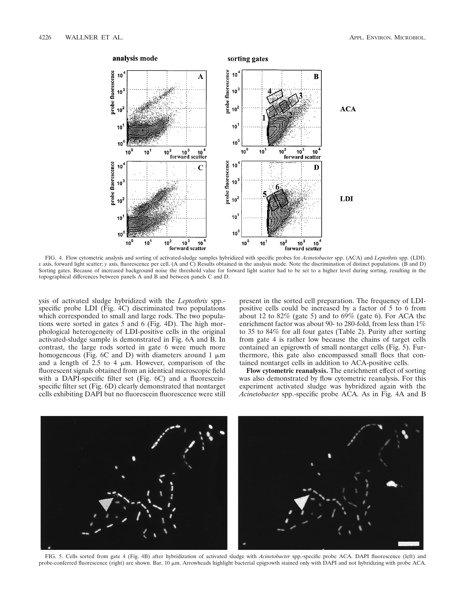

FIG. 4. Flow cytometric analysis and sorting of activated-sludge samples hybridized with specific probes for *Acinetobacter* spp. (ACA) and *Leptothrix* spp. (LDI). *x* axis, forward light scatter; *y* axis, fluorescence per cell. (A and C) Results obtained in the analysis mode. Note the discrimination of distinct populations. (B and D) Sorting gates. Because of increased background noise the threshold value for forward light scatter had to be set to a higher level during sorting, resulting in the topographical differences between panels A and B and between panels C and D.

ysis of activated sludge hybridized with the *Leptothrix* spp. specific probe LDI (Fig. 4C) discriminated two populations which corresponded to small and large rods. The two populations were sorted in gates 5 and 6 (Fig. 4D). The high morphological heterogeneity of LDI-positive cells in the original activated-sludge sample is demonstrated in Fig. 6A and B. In contrast, the large rods sorted in gate 6 were much more homogeneous (Fig. 6C and D) with diameters around 1  $\mu$ m and a length of  $2.5$  to 4  $\mu$ m. However, comparison of the fluorescent signals obtained from an identical microscopic field with a DAPI-specific filter set (Fig. 6C) and a fluoresceinspecific filter set (Fig. 6D) clearly demonstrated that nontarget cells exhibiting DAPI but no fluorescein fluorescence were still present in the sorted cell preparation. The frequency of LDIpositive cells could be increased by a factor of 5 to 6 from about 12 to  $82\%$  (gate 5) and to  $69\%$  (gate 6). For ACA the enrichment factor was about 90- to 280-fold, from less than 1% to 35 to 84% for all four gates (Table 2). Purity after sorting from gate 4 is rather low because the chains of target cells contained an epigrowth of small nontarget cells (Fig. 5). Furthermore, this gate also encompassed small flocs that contained nontarget cells in addition to ACA-positive cells.

**Flow cytometric reanalysis.** The enrichment effect of sorting was also demonstrated by flow cytometric reanalysis. For this experiment activated sludge was hybridized again with the *Acinetobacter* spp.-specific probe ACA. As in Fig. 4A and B



FIG. 5. Cells sorted from gate 4 (Fig. 4B) after hybridization of activated sludge with *Acinetobacter* spp.-specific probe ACA. DAPI fluorescence (left) and probe-conferred fluorescence (right) are shown. Bar, 10  $\mu$ m. Arrowheads highlight bacterial epigrowth stained only with DAPI and not hybridizing with probe ACA.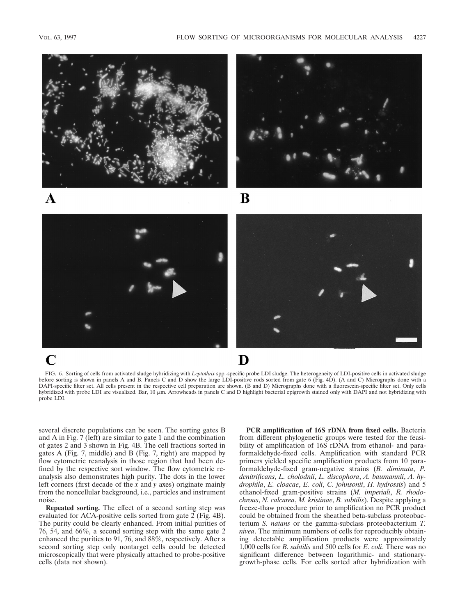

FIG. 6. Sorting of cells from activated sludge hybridizing with *Leptothrix* spp.-specific probe LDI sludge. The heterogeneity of LDI-positive cells in activated sludge before sorting is shown in panels A and B. Panels C and D show the large LDI-positive rods sorted from gate 6 (Fig. 4D). (A and C) Micrographs done with a DAPI-specific filter set. All cells present in the respective cell preparation are shown. (B and D) Micrographs done with a fluorescein-specific filter set. Only cells hybridized with probe LDI are visualized. Bar, 10  $\mu$ m. Arrowheads in panels C and D highlight bacterial epigrowth stained only with DAPI and not hybridizing with probe LDI.

several discrete populations can be seen. The sorting gates B and A in Fig. 7 (left) are similar to gate 1 and the combination of gates 2 and 3 shown in Fig. 4B. The cell fractions sorted in gates A (Fig. 7, middle) and B (Fig. 7, right) are mapped by flow cytometric reanalysis in those region that had been defined by the respective sort window. The flow cytometric reanalysis also demonstrates high purity. The dots in the lower left corners (first decade of the *x* and *y* axes) originate mainly from the noncellular background, i.e., particles and instrument noise.

**Repeated sorting.** The effect of a second sorting step was evaluated for ACA-positive cells sorted from gate 2 (Fig. 4B). The purity could be clearly enhanced. From initial purities of 76, 54, and 66%, a second sorting step with the same gate 2 enhanced the purities to 91, 76, and 88%, respectively. After a second sorting step only nontarget cells could be detected microscopically that were physically attached to probe-positive cells (data not shown).

**PCR amplification of 16S rDNA from fixed cells.** Bacteria from different phylogenetic groups were tested for the feasibility of amplification of 16S rDNA from ethanol- and paraformaldehyde-fixed cells. Amplification with standard PCR primers yielded specific amplification products from 10 paraformaldehyde-fixed gram-negative strains (*B. diminuta*, *P. denitrificans*, *L. cholodnii*, *L. discophora*, *A. baumannii*, *A. hydrophila*, *E. cloacae*, *E. coli*, *C. johnsonii*, *H. hydrossis*) and 5 ethanol-fixed gram-positive strains (*M. imperiali*, *R. rhodochrous*, *N. calcarea*, *M. kristinae*, *B. subtilis*). Despite applying a freeze-thaw procedure prior to amplification no PCR product could be obtained from the sheathed beta-subclass proteobacterium *S. natans* or the gamma-subclass proteobacterium *T. nivea*. The minimum numbers of cells for reproducibly obtaining detectable amplification products were approximately 1,000 cells for *B. subtilis* and 500 cells for *E. coli*. There was no significant difference between logarithmic- and stationarygrowth-phase cells. For cells sorted after hybridization with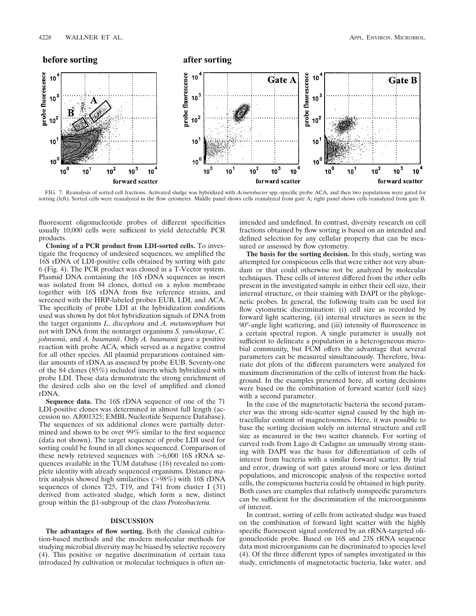

FIG. 7. Reanalysis of sorted cell fractions. Activated sludge was hybridized with *Acinetobacter* spp.-specific probe ACA, and then two populations were gated for sorting (left). Sorted cells were reanalyzed in the flow cytometer. Middle panel shows cells reanalyzed from gate A; right panel shows cells reanalyzed from gate B.

fluorescent oligonucleotide probes of different specificities usually 10,000 cells were sufficient to yield detectable PCR products.

**Cloning of a PCR product from LDI-sorted cells.** To investigate the frequency of undesired sequences, we amplified the 16S rDNA of LDI-positive cells obtained by sorting with gate 6 (Fig. 4). The PCR product was cloned in a T-Vector system. Plasmid DNA containing the 16S rDNA sequences as insert was isolated from 84 clones, dotted on a nylon membrane together with 16S rDNA from five reference strains, and screened with the HRP-labeled probes EUB, LDI, and ACA. The specificity of probe LDI at the hybridization conditions used was shown by dot blot hybridization signals of DNA from the target organisms *L. discophora* and *A. metamorphum* but not with DNA from the nontarget organisms *S. yanoikuyae*, *C. johnsonii*, and *A. baumanii*. Only *A. baumanii* gave a positive reaction with probe ACA, which served as a negative control for all other species. All plasmid preparations contained similar amounts of rDNA as assessed by probe EUB. Seventy-one of the 84 clones (85%) included inserts which hybridized with probe LDI. These data demonstrate the strong enrichment of the desired cells also on the level of amplified and cloned rDNA.

**Sequence data.** The 16S rDNA sequence of one of the 71 LDI-positive clones was determined in almost full length (accession no. AJ001325; EMBL Nucleotide Sequence Database). The sequences of six additional clones were partially determined and shown to be over 99% similar to the first sequence (data not shown). The target sequence of probe LDI used for sorting could be found in all clones sequenced. Comparison of these newly retrieved sequences with  $>6,000$  16S rRNA sequences available in the TUM database (16) revealed no complete identity with already sequenced organisms. Distance matrix analysis showed high similarities ( $>98\%$ ) with 16S rDNA sequences of clones T25, T19, and T41 from cluster I (31) derived from activated sludge, which form a new, distinct group within the b1-subgroup of the class *Proteobacteria.*

## **DISCUSSION**

**The advantages of flow sorting.** Both the classical cultivation-based methods and the modern molecular methods for studying microbial diversity may be biased by selective recovery (4). This positive or negative discrimination of certain taxa introduced by cultivation or molecular techniques is often un-

intended and undefined. In contrast, diversity research on cell fractions obtained by flow sorting is based on an intended and defined selection for any cellular property that can be measured or assessed by flow cytometry.

**The basis for the sorting decision.** In this study, sorting was attempted for conspicuous cells that were either not very abundant or that could otherwise not be analyzed by molecular techniques. These cells of interest differed from the other cells present in the investigated sample in either their cell size, their internal structure, or their staining with DAPI or the phylogenetic probes. In general, the following traits can be used for flow cytometric discrimination: (i) cell size as recorded by forward light scattering, (ii) internal structures as seen in the 90°-angle light scattering, and (iii) intensity of fluorescence in a certain spectral region. A single parameter is usually not sufficient to delineate a population in a heterogeneous microbial community, but FCM offers the advantage that several parameters can be measured simultaneously. Therefore, bivariate dot plots of the different parameters were analyzed for maximum discrimination of the cells of interest from the background. In the examples presented here, all sorting decisions were based on the combination of forward scatter (cell size) with a second parameter.

In the case of the magnetotactic bacteria the second parameter was the strong side-scatter signal caused by the high intracellular content of magnetosomes. Here, it was possible to base the sorting decision solely on internal structure and cell size as measured in the two scatter channels. For sorting of curved rods from Lago di Cadagno an unusually strong staining with DAPI was the basis for differentiation of cells of interest from bacteria with a similar forward scatter. By trial and error, drawing of sort gates around more or less distinct populations, and microscopic analysis of the respective sorted cells, the conspicuous bacteria could be obtained in high purity. Both cases are examples that relatively nonspecific parameters can be sufficient for the discrimination of the microorganisms of interest.

In contrast, sorting of cells from activated sludge was based on the combination of forward light scatter with the highly specific fluorescent signal conferred by an rRNA-targeted oligonucleotide probe. Based on 16S and 23S rRNA sequence data most microorganisms can be discriminated to species level (4). Of the three different types of samples investigated in this study, enrichments of magnetotactic bacteria, lake water, and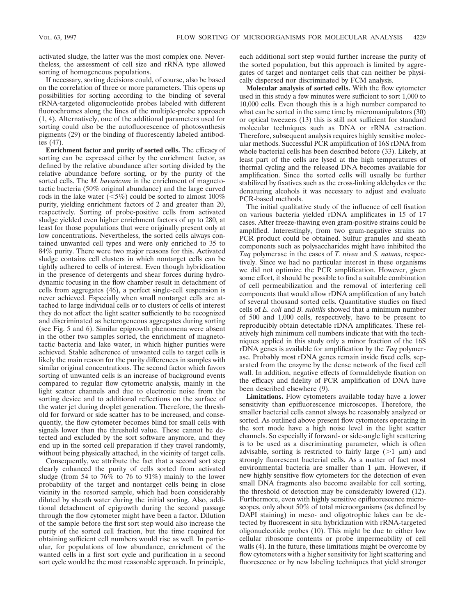activated sludge, the latter was the most complex one. Nevertheless, the assessment of cell size and rRNA type allowed sorting of homogeneous populations.

If necessary, sorting decisions could, of course, also be based on the correlation of three or more parameters. This opens up possibilities for sorting according to the binding of several rRNA-targeted oligonucleotide probes labeled with different fluorochromes along the lines of the multiple-probe approach (1, 4). Alternatively, one of the additional parameters used for sorting could also be the autofluorescence of photosynthesis pigments (29) or the binding of fluorescently labeled antibodies (47).

**Enrichment factor and purity of sorted cells.** The efficacy of sorting can be expressed either by the enrichment factor, as defined by the relative abundance after sorting divided by the relative abundance before sorting, or by the purity of the sorted cells. The *M. bavaricum* in the enrichment of magnetotactic bacteria (50% original abundance) and the large curved rods in the lake water ( $\leq 5\%$ ) could be sorted to almost 100% purity, yielding enrichment factors of 2 and greater than 20, respectively. Sorting of probe-positive cells from activated sludge yielded even higher enrichment factors of up to 280, at least for those populations that were originally present only at low concentrations. Nevertheless, the sorted cells always contained unwanted cell types and were only enriched to 35 to 84% purity. There were two major reasons for this. Activated sludge contains cell clusters in which nontarget cells can be tightly adhered to cells of interest. Even though hybridization in the presence of detergents and shear forces during hydrodynamic focusing in the flow chamber result in detachment of cells from aggregates (46), a perfect single-cell suspension is never achieved. Especially when small nontarget cells are attached to large individual cells or to clusters of cells of interest they do not affect the light scatter sufficiently to be recognized and discriminated as heterogeneous aggregates during sorting (see Fig. 5 and 6). Similar epigrowth phenomena were absent in the other two samples sorted, the enrichment of magnetotactic bacteria and lake water, in which higher purities were achieved. Stable adherence of unwanted cells to target cells is likely the main reason for the purity differences in samples with similar original concentrations. The second factor which favors sorting of unwanted cells is an increase of background events compared to regular flow cytometric analysis, mainly in the light scatter channels and due to electronic noise from the sorting device and to additional reflections on the surface of the water jet during droplet generation. Therefore, the threshold for forward or side scatter has to be increased, and consequently, the flow cytometer becomes blind for small cells with signals lower than the threshold value. These cannot be detected and excluded by the sort software anymore, and they end up in the sorted cell preparation if they travel randomly, without being physically attached, in the vicinity of target cells.

Consequently, we attribute the fact that a second sort step clearly enhanced the purity of cells sorted from activated sludge (from 54 to 76% to 76 to 91%) mainly to the lower probability of the target and nontarget cells being in close vicinity in the resorted sample, which had been considerably diluted by sheath water during the initial sorting. Also, additional detachment of epigrowth during the second passage through the flow cytometer might have been a factor. Dilution of the sample before the first sort step would also increase the purity of the sorted cell fraction, but the time required for obtaining sufficient cell numbers would rise as well. In particular, for populations of low abundance, enrichment of the wanted cells in a first sort cycle and purification in a second sort cycle would be the most reasonable approach. In principle,

each additional sort step would further increase the purity of the sorted population, but this approach is limited by aggregates of target and nontarget cells that can neither be physically dispersed nor discriminated by FCM analysis.

**Molecular analysis of sorted cells.** With the flow cytometer used in this study a few minutes were sufficient to sort 1,000 to 10,000 cells. Even though this is a high number compared to what can be sorted in the same time by micromanipulators (30) or optical tweezers (13) this is still not sufficient for standard molecular techniques such as DNA or rRNA extraction. Therefore, subsequent analysis requires highly sensitive molecular methods. Successful PCR amplification of 16S rDNA from whole bacterial cells has been described before (33). Likely, at least part of the cells are lysed at the high temperatures of thermal cycling and the released DNA becomes available for amplification. Since the sorted cells will usually be further stabilized by fixatives such as the cross-linking aldehydes or the denaturing alcohols it was necessary to adjust and evaluate PCR-based methods.

The initial qualitative study of the influence of cell fixation on various bacteria yielded rDNA amplificates in 15 of 17 cases. After freeze-thawing even gram-positive strains could be amplified. Interestingly, from two gram-negative strains no PCR product could be obtained. Sulfur granules and sheath components such as polysaccharides might have inhibited the *Taq* polymerase in the cases of *T. nivea* and *S. natans*, respectively. Since we had no particular interest in these organisms we did not optimize the PCR amplification. However, given some effort, it should be possible to find a suitable combination of cell permeabilization and the removal of interfering cell components that would allow rDNA amplification of any batch of several thousand sorted cells. Quantitative studies on fixed cells of *E. coli* and *B. subtilis* showed that a minimum number of 500 and 1,000 cells, respectively, have to be present to reproducibly obtain detectable rDNA amplificates. These relatively high minimum cell numbers indicate that with the techniques applied in this study only a minor fraction of the 16S rDNA genes is available for amplification by the *Taq* polymerase. Probably most rDNA genes remain inside fixed cells, separated from the enzyme by the dense network of the fixed cell wall. In addition, negative effects of formaldehyde fixation on the efficacy and fidelity of PCR amplification of DNA have been described elsewhere (9).

**Limitations.** Flow cytometers available today have a lower sensitivity than epifluorescence microscopes. Therefore, the smaller bacterial cells cannot always be reasonably analyzed or sorted. As outlined above present flow cytometers operating in the sort mode have a high noise level in the light scatter channels. So especially if forward- or side-angle light scattering is to be used as a discriminating parameter, which is often advisable, sorting is restricted to fairly large  $(>1 \mu m)$  and strongly fluorescent bacterial cells. As a matter of fact most environmental bacteria are smaller than  $1 \mu m$ . However, if new highly sensitive flow cytometers for the detection of even small DNA fragments also become available for cell sorting, the threshold of detection may be considerably lowered (12). Furthermore, even with highly sensitive epifluorescence microscopes, only about 50% of total microorganisms (as defined by DAPI staining) in meso- and oligotrophic lakes can be detected by fluorescent in situ hybridization with rRNA-targeted oligonucleotide probes (10). This might be due to either low cellular ribosome contents or probe impermeability of cell walls (4). In the future, these limitations might be overcome by flow cytometers with a higher sensitivity for light scattering and fluorescence or by new labeling techniques that yield stronger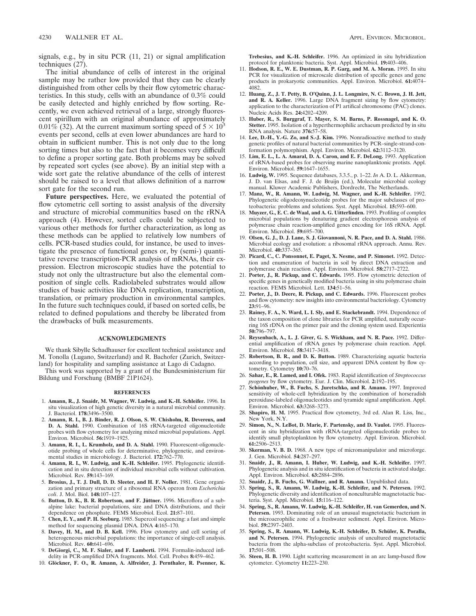signals, e.g., by in situ PCR (11, 21) or signal amplification techniques (27).

The initial abundance of cells of interest in the original sample may be rather low provided that they can be clearly distinguished from other cells by their flow cytometric characteristics. In this study, cells with an abundance of 0.3% could be easily detected and highly enriched by flow sorting. Recently, we even achieved retrieval of a large, strongly fluorescent spirillum with an original abundance of approximately 0.01% (32). At the current maximum sorting speed of  $5 \times 10^3$ events per second, cells at even lower abundances are hard to obtain in sufficient number. This is not only due to the long sorting times but also to the fact that it becomes very difficult to define a proper sorting gate. Both problems may be solved by repeated sort cycles (see above). By an initial step with a wide sort gate the relative abundance of the cells of interest should be raised to a level that allows definition of a narrow sort gate for the second run.

**Future perspectives.** Here, we evaluated the potential of flow cytometric cell sorting to assist analysis of the diversity and structure of microbial communities based on the rRNA approach (4). However, sorted cells could be subjected to various other methods for further characterization, as long as these methods can be applied to relatively low numbers of cells. PCR-based studies could, for instance, be used to investigate the presence of functional genes or, by (semi-) quantitative reverse transcription-PCR analysis of mRNAs, their expression. Electron microscopic studies have the potential to study not only the ultrastructure but also the elemental composition of single cells. Radiolabeled substrates would allow studies of basic activities like DNA replication, transcription, translation, or primary production in environmental samples. In the future such techniques could, if based on sorted cells, be related to defined populations and thereby be liberated from the drawbacks of bulk measurements.

## **ACKNOWLEDGMENTS**

We thank Sibylle Schadhauser for excellent technical assistance and M. Tonolla (Lugano, Switzerland) and R. Bachofer (Zurich, Switzerland) for hospitality and sampling assistance at Lago di Cadagno.

This work was supported by a grant of the Bundesministerium für Bildung und Forschung (BMBF 21P1624).

### **REFERENCES**

- 1. **Amann, R., J. Snaidr, M. Wagner, W. Ludwig, and K.-H. Schleifer.** 1996. In situ visualization of high genetic diversity in a natural microbial community. J. Bacteriol. **178:**3496–3500.
- 2. **Amann, R. I., B. J. Binder, R. J. Olson, S. W. Chisholm, R. Devereux, and D. A. Stahl.** 1990. Combination of 16S rRNA-targeted oligonucleotide probes with flow cytometry for analyzing mixed microbial populations. Appl. Environ. Microbiol. **56:**1919–1925.
- 3. **Amann, R. I., L. Krumholz, and D. A. Stahl.** 1990. Fluorescent-oligonucleotide probing of whole cells for determinative, phylogenetic, and environmental studies in microbiology. J. Bacteriol. **172:**762–770.
- 4. **Amann, R. I., W. Ludwig, and K.-H. Schleifer.** 1995. Phylogenetic identification and in situ detection of individual microbial cells without cultivation. Microbiol. Rev. **59:**143–169.
- 5. **Brosius, J., T. J. Dull, D. D. Sleeter, and H. F. Noller.** 1981. Gene organization and primary structure of a ribosomal RNA operon from *Escherichia coli*. J. Mol. Biol. **148:**107–127.
- Button, D. K., B. R. Robertson, and F. Jüttner. 1996. Microflora of a subalpine lake: bacterial populations, size and DNA distributions, and their dependence on phosphate. FEMS Microbiol. Ecol. **21:**87–101.
- 7. **Chen, E. Y., and P. H. Seeburg.** 1985. Supercoil sequencing: a fast and simple method for sequencing plasmid DNA. DNA **4:**165–170.
- 8. **Davey, H. M., and D. B. Kell.** 1996. Flow cytometry and cell sorting of heterogeneous microbial populations: the importance of single-cell analysis. Microbiol. Rev. **60:**641–696.
- 9. **DeGiorgi, C., M. F. Sialer, and F. Lamberti.** 1994. Formalin-induced infidelity in PCR-amplified DNA fragments. Mol. Cell. Probes **8:**459–462.
- 10. Glöckner, F. O., R. Amann, A. Alfreider, J. Pernthaler, R. Psenner, K.

**Trebesius, and K.-H. Schleifer.** 1996. An optimized in situ hybridization protocol for planktonic bacteria. Syst. Appl. Microbiol. **19:**403–406.

- 11. **Hodson, R. E., W. E. Dustman, R. P. Garg, and M. A. Moran.** 1995. In situ PCR for visualization of microscale distribution of specific genes and gene products in prokaryotic communities. Appl. Environ. Microbiol. **61:**4074– 4082.
- 12. **Huang, Z., J. T. Petty, B. O'Quinn, J. L. Longmire, N. C. Brown, J. H. Jett, and R. A. Keller.** 1996. Large DNA fragment sizing by flow cytometry: application to the characterization of P1 artifical chromosome (PAC) clones. Nucleic Acids Res. **24:**4202–4209.
- 13. **Huber, R., S. Burggraf, T. Mayer, S. M. Barns, P. Rossnagel, and K. O. Stetter.** 1995. Isolation of a hyperthermophilic archaeum predicted by in situ RNA analysis. Nature **376:**57–58.
- 14. **Lee, D.-H., Y.-G. Zo, and S.-J. Kim.** 1996. Nonradioactive method to study genetic profiles of natural bacterial communities by PCR–single-strand-conformation polymorphism. Appl. Environ. Microbiol. **62:**3112–3120.
- 15. **Lim, E. L., L. A. Amaral, D. A. Caron, and E. F. DeLong.** 1993. Application of rRNA-based probes for observing marine nanoplanktonic protists. Appl. Environ. Microbiol. **59:**1647–1655.
- 16. **Ludwig, W.** 1995. Sequence databases, 3.3.5., p. 1–22. *In* A. D. L. Akkerman, J. D. van Elsas, and F. J. de Bruijn (ed.), Molecular microbial ecology manual. Kluwer Academic Publishers, Dordrecht, The Netherlands.
- 17. **Manz, W., R. Amann, W. Ludwig, M. Wagner, and K.-H. Schleifer.** 1992. Phylogenetic oligodeoxynucleotide probes for the major subclasses of proteobacteria: problems and solutions. Syst. Appl. Microbiol. **15:**593–600.
- 18. **Muyzer, G., E. C. de Waal, and A. G. Uitterlinden.** 1993. Profiling of complex microbial populations by denaturing gradient electrophoresis analysis of polymerase chain reaction-amplified genes encoding for 16S rRNA. Appl. Environ. Microbiol. **59:**695–700.
- 19. **Olsen, G. J., D. J. Lane, S. J. Giovannoni, N. R. Pace, and D. A. Stahl.** 1986. Microbial ecology and evolution: a ribosomal rRNA approach. Annu. Rev. Microbiol. **40:**337–365.
- 20. **Picard, C., C. Ponsonnet, E. Paget, X. Nesme, and P. Simonet.** 1992. Detection and enumeration of bacteria in soil by direct DNA extraction and polymerase chain reaction. Appl. Environ. Microbiol. **58:**2717–2722.
- 21. **Porter, J., R. Pickup, and C. Edwards.** 1995. Flow cytometric detection of specific genes in genetically modified bacteria using in situ polymerase chain reaction. FEMS Microbiol. Lett. **134:**51–56.
- 22. **Porter, J., D. Deere, R. Pickup, and C. Edwards.** 1996. Fluorescent probes and flow cytometry: new insights into environmental bacteriology. Cytometry **23:**91–96.
- 23. **Rainey, F. A., N. Ward, L. I. Sly, and E. Stackebrandt.** 1994. Dependence of the taxon composition of clone libraries for PCR amplified, naturally occurring 16S rDNA on the primer pair and the cloning system used. Experientia **50:**796–797.
- 24. **Reysenbach, A., L. J. Giver, G. S. Wickham, and N. R. Pace.** 1992. Differential amplification of rRNA genes by polymerase chain reaction. Appl. Environ. Microbiol. **58:**3417–3418.
- 25. **Robertson, B. R., and D. K. Button.** 1989. Characterizing aquatic bacteria according to population, cell size, and apparent DNA content by flow cytometry. Cytometry **10:**70–76.
- 26. **Sahar, E., R. Lamed, and I. Ofek.** 1983. Rapid identification of *Streptococcus pyogenes* by flow cytometry. Eur. J. Clin. Microbiol. **2:**192–195.
- 27. Schönhuber, W., B. Fuchs, S. Juretschko, and R. Amann. 1997. Improved sensitivity of whole-cell hybridization by the combination of horseradish peroxidase-labeled oligonucleotides and tyramide signal amplification. Appl. Environ. Microbiol. **63:**3268–3273.
- 28. **Shapiro, H. M.** 1995. Practical flow cytometry, 3rd ed. Alan R. Liss, Inc., New York, N.Y.
- 29. **Simon, N., N. LeBot, D. Marie, F. Partensky, and D. Vaulot.** 1995. Fluorescent in situ hybridization with rRNA-targeted oligonucleotide probes to identify small phytoplankton by flow cytometry. Appl. Environ. Microbiol. **61:**2506–2513.
- 30. **Skerman, V. B. D.** 1968. A new type of micromanipulator and microforge. J. Gen. Microbiol. **54:**287–297.
- 31. **Snaidr, J., R. Amann, I. Huber, W. Ludwig, and K.-H. Schleifer.** 1997. Phylogenetic analysis and in situ identification of bacteria in activated sludge. Appl. Environ. Microbiol. **63:**2884–2896.
- Snaidr, J., B. Fuchs, G. Wallner, and R. Amann. Unpublished data.
- 33. **Spring, S., R. Amann, W. Ludwig, K.-H. Schleifer, and N. Petersen.** 1992. Phylogenetic diversity and identification of nonculturable magnetotactic bacteria. Syst. Appl. Microbiol. **15:**116–122.
- 34. **Spring, S., R. Amann, W. Ludwig, K.-H. Schleifer, H. van Gemerden, and N. Petersen.** 1993. Dominating role of an unusual magnetotactic bacterium in the microaerophilic zone of a freshwater sediment. Appl. Environ. Microbiol. **59:**2397–2403.
- 35. Spring, S., R. Amann, W. Ludwig, K.-H. Schleifer, D. Schüler, K. Poralla, **and N. Petersen.** 1994. Phylogenetic analysis of uncultured magnetotactic bacteria from the alpha-subclass of proteobacteria. Syst. Appl. Microbiol. **17:**501–508.
- 36. **Steen, H. B.** 1990. Light scattering measurement in an arc lamp-based flow cytometer. Cytometry **11:**223–230.